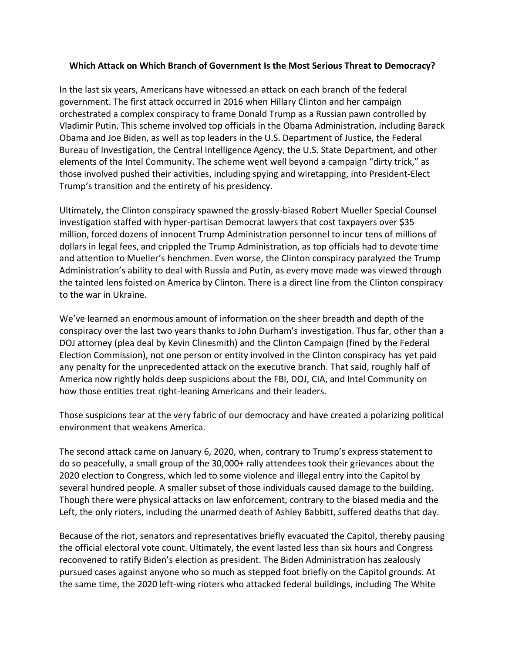## **Which Attack on Which Branch of Government Is the Most Serious Threat to Democracy?**

In the last six years, Americans have witnessed an attack on each branch of the federal government. The first attack occurred in 2016 when Hillary Clinton and her campaign orchestrated a complex conspiracy to frame Donald Trump as a Russian pawn controlled by Vladimir Putin. This scheme involved top officials in the Obama Administration, including Barack Obama and Joe Biden, as well as top leaders in the U.S. Department of Justice, the Federal Bureau of Investigation, the Central Intelligence Agency, the U.S. State Department, and other elements of the Intel Community. The scheme went well beyond a campaign "dirty trick," as those involved pushed their activities, including spying and wiretapping, into President-Elect Trump's transition and the entirety of his presidency.

Ultimately, the Clinton conspiracy spawned the grossly-biased Robert Mueller Special Counsel investigation staffed with hyper-partisan Democrat lawyers that cost taxpayers over \$35 million, forced dozens of innocent Trump Administration personnel to incur tens of millions of dollars in legal fees, and crippled the Trump Administration, as top officials had to devote time and attention to Mueller's henchmen. Even worse, the Clinton conspiracy paralyzed the Trump Administration's ability to deal with Russia and Putin, as every move made was viewed through the tainted lens foisted on America by Clinton. There is a direct line from the Clinton conspiracy to the war in Ukraine.

We've learned an enormous amount of information on the sheer breadth and depth of the conspiracy over the last two years thanks to John Durham's investigation. Thus far, other than a DOJ attorney (plea deal by Kevin Clinesmith) and the Clinton Campaign (fined by the Federal Election Commission), not one person or entity involved in the Clinton conspiracy has yet paid any penalty for the unprecedented attack on the executive branch. That said, roughly half of America now rightly holds deep suspicions about the FBI, DOJ, CIA, and Intel Community on how those entities treat right-leaning Americans and their leaders.

Those suspicions tear at the very fabric of our democracy and have created a polarizing political environment that weakens America.

The second attack came on January 6, 2020, when, contrary to Trump's express statement to do so peacefully, a small group of the 30,000+ rally attendees took their grievances about the 2020 election to Congress, which led to some violence and illegal entry into the Capitol by several hundred people. A smaller subset of those individuals caused damage to the building. Though there were physical attacks on law enforcement, contrary to the biased media and the Left, the only rioters, including the unarmed death of Ashley Babbitt, suffered deaths that day.

Because of the riot, senators and representatives briefly evacuated the Capitol, thereby pausing the official electoral vote count. Ultimately, the event lasted less than six hours and Congress reconvened to ratify Biden's election as president. The Biden Administration has zealously pursued cases against anyone who so much as stepped foot briefly on the Capitol grounds. At the same time, the 2020 left-wing rioters who attacked federal buildings, including The White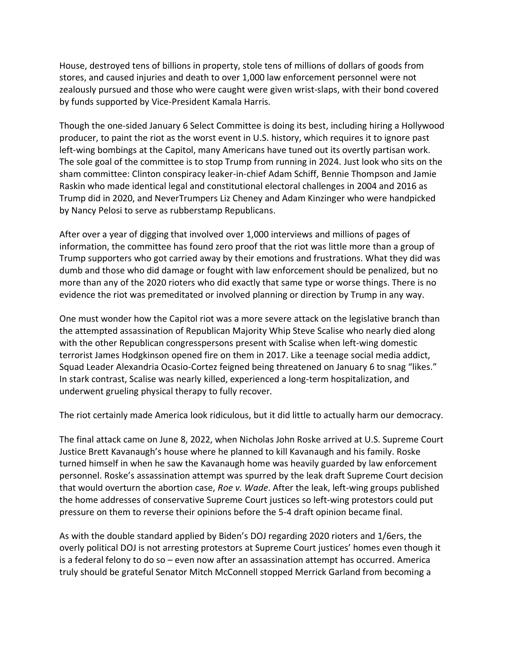House, destroyed tens of billions in property, stole tens of millions of dollars of goods from stores, and caused injuries and death to over 1,000 law enforcement personnel were not zealously pursued and those who were caught were given wrist-slaps, with their bond covered by funds supported by Vice-President Kamala Harris.

Though the one-sided January 6 Select Committee is doing its best, including hiring a Hollywood producer, to paint the riot as the worst event in U.S. history, which requires it to ignore past left-wing bombings at the Capitol, many Americans have tuned out its overtly partisan work. The sole goal of the committee is to stop Trump from running in 2024. Just look who sits on the sham committee: Clinton conspiracy leaker-in-chief Adam Schiff, Bennie Thompson and Jamie Raskin who made identical legal and constitutional electoral challenges in 2004 and 2016 as Trump did in 2020, and NeverTrumpers Liz Cheney and Adam Kinzinger who were handpicked by Nancy Pelosi to serve as rubberstamp Republicans.

After over a year of digging that involved over 1,000 interviews and millions of pages of information, the committee has found zero proof that the riot was little more than a group of Trump supporters who got carried away by their emotions and frustrations. What they did was dumb and those who did damage or fought with law enforcement should be penalized, but no more than any of the 2020 rioters who did exactly that same type or worse things. There is no evidence the riot was premeditated or involved planning or direction by Trump in any way.

One must wonder how the Capitol riot was a more severe attack on the legislative branch than the attempted assassination of Republican Majority Whip Steve Scalise who nearly died along with the other Republican congresspersons present with Scalise when left-wing domestic terrorist James Hodgkinson opened fire on them in 2017. Like a teenage social media addict, Squad Leader Alexandria Ocasio-Cortez feigned being threatened on January 6 to snag "likes." In stark contrast, Scalise was nearly killed, experienced a long-term hospitalization, and underwent grueling physical therapy to fully recover.

The riot certainly made America look ridiculous, but it did little to actually harm our democracy.

The final attack came on June 8, 2022, when Nicholas John Roske arrived at U.S. Supreme Court Justice Brett Kavanaugh's house where he planned to kill Kavanaugh and his family. Roske turned himself in when he saw the Kavanaugh home was heavily guarded by law enforcement personnel. Roske's assassination attempt was spurred by the leak draft Supreme Court decision that would overturn the abortion case, *Roe v. Wade*. After the leak, left-wing groups published the home addresses of conservative Supreme Court justices so left-wing protestors could put pressure on them to reverse their opinions before the 5-4 draft opinion became final.

As with the double standard applied by Biden's DOJ regarding 2020 rioters and 1/6ers, the overly political DOJ is not arresting protestors at Supreme Court justices' homes even though it is a federal felony to do so – even now after an assassination attempt has occurred. America truly should be grateful Senator Mitch McConnell stopped Merrick Garland from becoming a